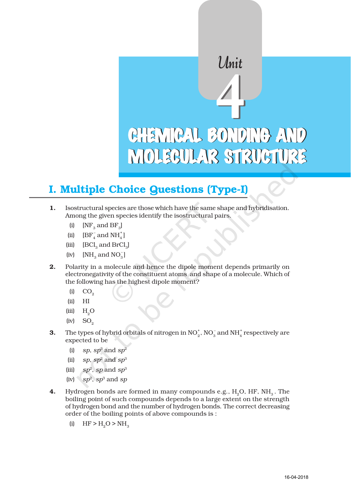# CHEMICAL BONDING AND MOLECULAR STRUCTURE  $\frac{4}{1}$

Unit

# I. Multiple Choice Questions (Type-I)

- 1. Isostructural species are those which have the same shape and hybridisation. Among the given species identify the isostructural pairs.
	- (i)  $[NF_3 \text{ and } BF_3]$
	- (ii)  $[BF_4^-$  and  $NH_4^+]$
	- (iii)  $[BCl_3$  and  $BrCl_3]$
	- (iv)  $[NH_3 \text{ and } NO_3]$
- 2. Polarity in a molecule and hence the dipole moment depends primarily on electronegativity of the constituent atoms and shape of a molecule. Which of the following has the highest dipole moment?
	- $(i)$   $CO<sub>2</sub>$
	- (ii) HI
	- (iii)  $H_2O$
	- $(iv)$  SO<sub>2</sub>
- **3.** The types of hybrid orbitals of nitrogen in  $NO_2^*$ ,  $NO_3^-$  and  $NH_4^+$  respectively are expected to be
	- (i) *sp*,  $sp^3$  and  $sp^2$
	- (ii) *sp*,  $sp^2$  and  $sp^3$
	- (iii)  $sp^2$ , *sp* and  $sp^3$
	- (iv)  $sp^2$ ,  $sp^3$  and  $sp$
- 4. Hydrogen bonds are formed in many compounds e.g.,  $H<sub>2</sub>O$ , HF, NH $<sub>3</sub>$ . The</sub> boiling point of such compounds depends to a large extent on the strength of hydrogen bond and the number of hydrogen bonds. The correct decreasing order of the boiling points of above compounds is :
	- (i)  $HF > H_2O > NH_2$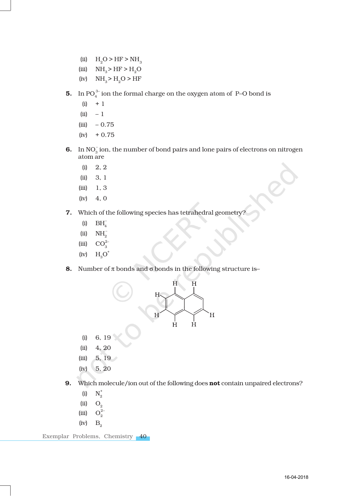- (ii)  $H_2O > HF > NH_3$
- (iii)  $NH_3 > HF > H_2O$
- (iv)  $NH_3 > H_2O > HF$
- **5.** In PO $_4^{3-}$  ion the formal charge on the oxygen atom of P–O bond is
	- $(i) + 1$
	- $(ii) 1$
	- $(iii) 0.75$
	- $(iv) + 0.75$
- **6.** In  $NO_3^-$  ion, the number of bond pairs and lone pairs of electrons on nitrogen atom are
	- (i) 2, 2
	- (ii) 3, 1
	- (iii) 1, 3
	- $(iv)$  4, 0
- 7. Which of the following species has tetrahedral geometry?
	- (i)  $BH_4^-$
	- (ii)  $NH_2^-$
	- (iii)  $CO_3^{2-}$
	- $(iv)$   $H<sub>3</sub>O<sup>+</sup>$
- 8. Number of π bonds and σ bonds in the following structure is-



- (i) 6, 19
- (ii) 4, 20
- (iii) 5, 19
- (iv) 5, 20
- 9. Which molecule/ion out of the following does not contain unpaired electrons?
	- (i)  $N_2^+$
	- (ii)  $O_2$
	- $(iii)$  $O_2^2$
	- $(iv)$   $B<sub>o</sub>$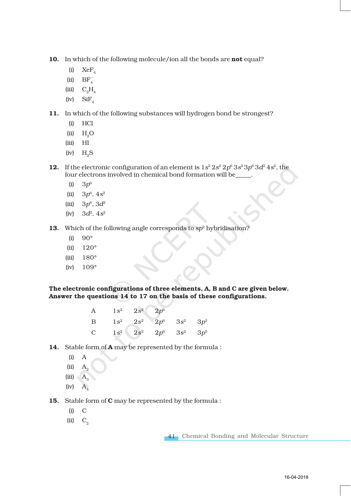10. In which of the following molecule/ion all the bonds are not equal?

- (i)  $XeF_A$
- (ii)  $BF_4^-$
- (iii)  $C_2H_4$
- (iv)  $SiF<sub>4</sub>$

11. In which of the following substances will hydrogen bond be strongest?

- (i) HCl
- $(ii)$   $H<sub>0</sub>O$
- (iii) HI
- $(iv)$  H<sub>2</sub>S

**12.** If the electronic configuration of an element is  $1s^2 2s^2 2p^6 3s^2 3p^6 3d^2 4s^2$ , the four electrons involved in chemical bond formation will be\_\_\_\_\_.

- (i)  $3p^6$
- (ii)  $3p^6$ ,  $4s^2$
- (iii)  $3p^6$ ,  $3d^2$
- (iv)  $3d^2$ ,  $4s^2$
- 13. Which of the following angle corresponds to *sp*2 hybridisation?
	- (i)  $90^\circ$
	- (ii) 120°
	- (iii) 180°
	- (iv)  $109^\circ$

The electronic configurations of three elements, A, B and C are given below. Answer the questions 14 to 17 on the basis of these configurations.

| A |                                      | $1s^2$ $2s^2$ $2p^6$ |                                    |  |
|---|--------------------------------------|----------------------|------------------------------------|--|
| B |                                      |                      | $1s^2$ $2s^2$ $2p^6$ $3s^2$ $3p^3$ |  |
|   | C $1s^2$ $2s^2$ $2p^6$ $3s^2$ $3p^5$ |                      |                                    |  |

- 14. Stable form of **A** may be represented by the formula :
	- (i) A
	- $(iii)$   $A_2$
	- (iii)  $A_3$
	- $(iv)$   $A<sub>4</sub>$
- 15. Stable form of C may be represented by the formula :
	- (i) C
	- $(ii)$   $C_{2}$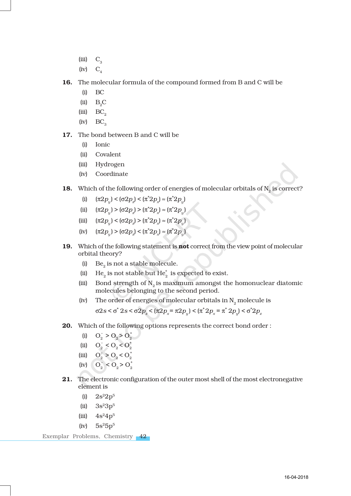- $(iii)$   $C_3$
- $(iv)$   $C_4$

16. The molecular formula of the compound formed from B and C will be

- (i) BC
- (ii)  $B_2C$
- $(iii)$  BC<sub>2</sub>
- $(iv)$  BC<sub>3</sub>
- 17. The bond between B and C will be
	- (i) Ionic
	- (ii) Covalent
	- (iii) Hydrogen
	- (iv) Coordinate
- 18. Which of the following order of energies of molecular orbitals of  $N<sub>2</sub>$  is correct?
	- (i)  $(\pi 2p_y) < (\sigma 2p_z) < (\pi^* 2p_x) \approx (\pi^* 2p_y)$
	- (ii)  $(\pi 2p_y) > (\sigma 2p_z) > (\pi^* 2p_x) \approx (\pi^* 2p_y)$
	- (iii)  $(\pi 2p_y) < (\sigma 2p_z) > (\pi^* 2p_x) \approx (\pi^* 2p_y)$
	- (iv)  $(\pi 2p_y) > (\sigma 2p_z) < (\pi^* 2p_x) \approx (\pi^* 2p_y)$
- 19. Which of the following statement is not correct from the view point of molecular orbital theory?
	- (i)  $Be_2$  is not a stable molecule.
	- (ii) He<sub>2</sub> is not stable but He<sub>2</sub><sup>\*</sup> is expected to exist.
	- (iii) Bond strength of  $N<sub>2</sub>$  is maximum amongst the homonuclear diatomic molecules belonging to the second period.
	- (iv) The order of energies of molecular orbitals in  $\text{N}_{2}$  molecule is  $\sigma$ 2*s* <  $\sigma$ <sup>\*</sup> 2*s* <  $\sigma$ 2*p<sub>z</sub>* <  $(\pi 2p_x = \pi 2p_y)$  <  $(\pi^* 2p_x = \pi^* 2p_y)$  <  $\sigma^* 2p_z$
- 20. Which of the following options represents the correct bond order:
	- (i)  $O_2^- > O_2 > O_2^+$
	- (ii)  $O_2^- < O_2 < O_2^+$
	- (iii)  $O_2^- > O_2 < O_2^+$
	- (iv)  $O_2^- < O_2 > O_2^+$
- 21. The electronic configuration of the outer most shell of the most electronegative element is
	- (i)  $2s^22p^5$
	- (ii)  $3s^23p^5$
	- (iii)  $4s^24p^5$
	- $(iv)$  5s<sup>2</sup>5p<sup>5</sup>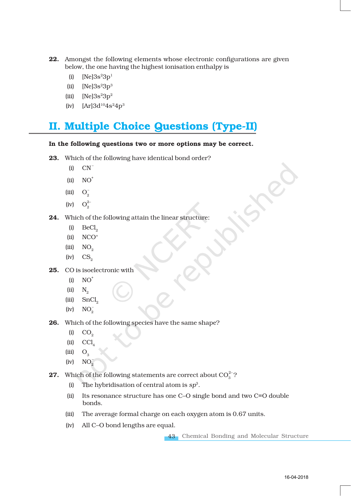- 22. Amongst the following elements whose electronic configurations are given below, the one having the highest ionisation enthalpy is
	- (i)  $[Ne]3s^23p^1$
	- (ii)  $[Ne]3s^23p^3$
	- (iii)  $[Ne]3s^23p^2$
	- (iv)  $[Ar]3d^{10}4s^24p^3$

## II. Multiple Choice Questions (Type-II)

#### In the following questions two or more options may be correct.

- 23. Which of the following have identical bond order?
	- $(i)$   $CN^-$
	- $(ii) \quad NO^+$
	- (iii)  $O_2^-$
	- (iv)  $O_2^{2-}$
- 24. Which of the following attain the linear structure:
	- $(i)$  BeCl<sub>2</sub>
	- (ii) NCO+
	- $(iii)$  NO<sub>2</sub>
	- $(iv)$   $CS<sub>2</sub>$
- 25. CO is isoelectronic with
	- $(i)$  NO<sup>+</sup>
	- $(ii)$   $N_{2}$
	- $(iii)$  SnCl<sub>2</sub>
	- (iv)  $NO_2^-$
- 26. Which of the following species have the same shape?
	- $(i)$   $CO<sub>2</sub>$
	- $(ii)$  CCl.
	- $(iii)$   $O_3$
	- (iv)  $NO_2^-$
- **27.** Which of the following statements are correct about  $CO_3^{2-}$ ?
	- (i) The hybridisation of central atom is *sp*3.
	- (ii) Its resonance structure has one C–O single bond and two C=O double bonds.
	- (iii) The average formal charge on each oxygen atom is 0.67 units.
	- (iv) All C–O bond lengths are equal.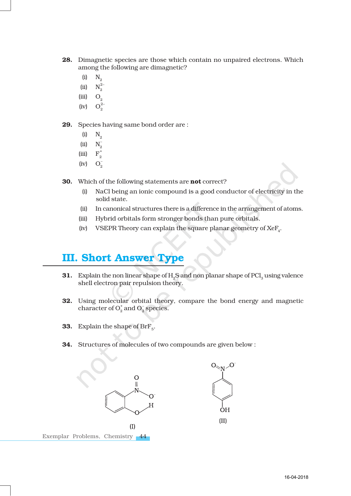- 28. Dimagnetic species are those which contain no unpaired electrons. Which among the following are dimagnetic?
	- $(i)$   $N_{2}$
	- (ii)  $N_2^{2-}$
	- $(iii)$  O<sub>2</sub>
	- $(iv)$  $O<sub>2</sub><sup>2</sup>$

29. Species having same bond order are :

- $(i)$  N<sub>2</sub>
- (ii)  $N_2^-$
- $(iii)$  $F_2^+$
- $(iv)$  $O_{\Omega}^{-}$
- **30.** Which of the following statements are **not** correct?
	- (i) NaCl being an ionic compound is a good conductor of electricity in the solid state.
	- (ii) In canonical structures there is a difference in the arrangement of atoms.
	- (iii) Hybrid orbitals form stronger bonds than pure orbitals.
	- (iv) VSEPR Theory can explain the square planar geometry of  $XeF<sub>A</sub>$ .

## III. Short Answer Type

- 31. Explain the non linear shape of H<sub>2</sub>S and non planar shape of PCl<sub>2</sub> using valence shell electron pair repulsion theory.
- 32. Using molecular orbital theory, compare the bond energy and magnetic character of  $O_2^+$  and  $O_2^-$  species.
- **33.** Explain the shape of  $\text{BrF}_{5}$ .
- 34. Structures of molecules of two compounds are given below :

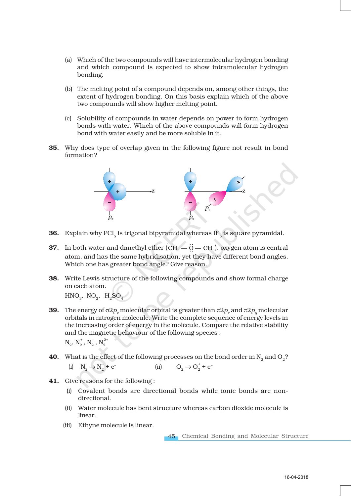- (a) Which of the two compounds will have intermolecular hydrogen bonding and which compound is expected to show intramolecular hydrogen bonding.
- (b) The melting point of a compound depends on, among other things, the extent of hydrogen bonding. On this basis explain which of the above two compounds will show higher melting point.
- (c) Solubility of compounds in water depends on power to form hydrogen bonds with water. Which of the above compounds will form hydrogen bond with water easily and be more soluble in it.
- 35. Why does type of overlap given in the following figure not result in bond formation?



- **36.** Explain why PCl<sub>5</sub> is trigonal bipyramidal whereas IF<sub>5</sub> is square pyramidal.
- **37.** In both water and dimethyl ether  $(CH_s \ddot{O} CH_s)$ , oxygen atom is central atom, and has the same hybridisation, yet they have different bond angles. Which one has greater bond angle? Give reason.
- 38. Write Lewis structure of the following compounds and show formal charge on each atom.

 $HNO<sub>3</sub>$ , NO<sub>2</sub>, H<sub>2</sub>SO<sub>4</sub>

- **39.** The energy of  $\sigma 2p_z$  molecular orbital is greater than  $\pi 2p_x$  and  $\pi 2p_y$  molecular orbitals in nitrogen molecule. Write the complete sequence of energy levels in the increasing order of energy in the molecule. Compare the relative stability and the magnetic behaviour of the following species :  $\mathrm{N}^{\phantom{2}}_2,\,\mathrm{N}^{\phantom{2}}_2,\,\mathrm{N}^{\phantom{2}}_2,\,\mathrm{N}^{2+}_2$
- **40.** What is the effect of the following processes on the bond order in  $N_2$  and  $O_2$ ?

(i)  $N_2 \rightarrow N_2^+$ + e<sup>-</sup> (ii)  $O_2 \to O_2^+ + e^-$ 

- 41. Give reasons for the following :
	- (i) Covalent bonds are directional bonds while ionic bonds are nondirectional.
	- (ii) Water molecule has bent structure whereas carbon dioxide molecule is linear.
	- (iii) Ethyne molecule is linear.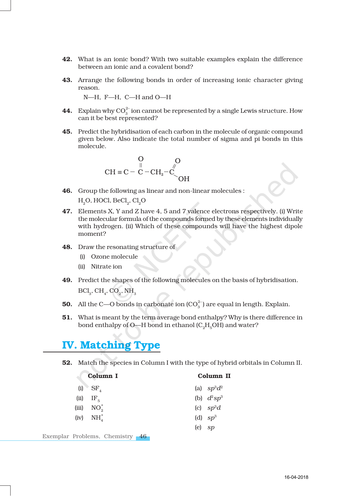- 42. What is an ionic bond? With two suitable examples explain the difference between an ionic and a covalent bond?
- 43. Arrange the following bonds in order of increasing ionic character giving reason.

N—H, F—H, C—H and O—H

- **44.** Explain why  $CO_3^{2-}$  ion cannot be represented by a single Lewis structure. How can it be best represented?
- 45. Predict the hybridisation of each carbon in the molecule of organic compound given below. Also indicate the total number of sigma and pi bonds in this molecule.

$$
\begin{array}{ccc}\n & O & O \\
\parallel & \parallel & \parallel \\
CH \equiv C - C - CH_2 - C & O \\
\downarrow & \downarrow & O \\
\downarrow & \downarrow & O\n\end{array}
$$

- 46. Group the following as linear and non-linear molecules :  $H<sub>2</sub>O$ , HOCl, BeCl<sub>2</sub>, Cl<sub>2</sub>O
- 47. Elements X, Y and Z have 4, 5 and 7 valence electrons respectively. (i) Write the molecular formula of the compounds formed by these elements individually with hydrogen. (ii) Which of these compounds will have the highest dipole moment?
- 48. Draw the resonating structure of
	- (i) Ozone molecule
	- (ii) Nitrate ion
- 49. Predict the shapes of the following molecules on the basis of hybridisation.  $\text{BCl}_3$ ,  $\text{CH}_4$ ,  $\text{CO}_2$ ,  $\text{NH}_3$
- **50.** All the C—O bonds in carbonate ion  $(CO_3^{2-})$  are equal in length. Explain.
- **51.** What is meant by the term average bond enthalpy? Why is there difference in bond enthalpy of O—H bond in ethanol  $(C<sub>2</sub>H<sub>5</sub>OH)$  and water?

## IV. Matching Type

52. Match the species in Column I with the type of hybrid orbitals in Column II.

| Column I                            | Column II     |
|-------------------------------------|---------------|
| $(i)$ SF <sub>A</sub>               | (a) $sp^3d^2$ |
| $(ii)$ IF <sub>5</sub>              | (b) $d^2sp^3$ |
| (iii) $NO_2^+$                      | (c) $sp^3d$   |
| $(iv)$ NH <sub>4</sub> <sup>+</sup> | (d) $sp^3$    |
|                                     | $(e)$ sp      |
|                                     |               |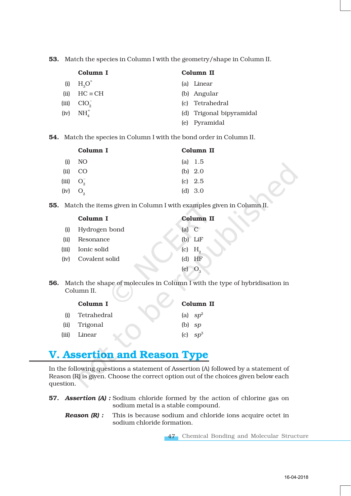53. Match the species in Column I with the geometry/shape in Column II.

|       | Column I                            | Column II                |
|-------|-------------------------------------|--------------------------|
| (i)   | $H3O+$                              | (a) Linear               |
|       | (ii) $HC \equiv CH$                 | (b) Angular              |
| (iii) | $ClO_2^-$                           | (c) Tetrahedral          |
|       | $(iv)$ NH <sub>4</sub> <sup>+</sup> | (d) Trigonal bipyramidal |
|       |                                     | (e) Pyramidal            |
|       |                                     |                          |

54. Match the species in Column I with the bond order in Column II.

|                       | Column I        | Column II |
|-----------------------|-----------------|-----------|
| (i)                   | NO <sub>1</sub> | (a) $1.5$ |
|                       | (ii) CO         | (b) $2.0$ |
|                       | (iii) $O_2^-$   | $(c)$ 2.5 |
| $(iv)$ O <sub>2</sub> |                 | (d) 3.0   |

55. Match the items given in Column I with examples given in Column II.

|       | Column I       |         | <b>Column II</b>                                                |
|-------|----------------|---------|-----------------------------------------------------------------|
| (i)   | Hydrogen bond  | $(a)$ C |                                                                 |
| (ii)  | Resonance      |         | $(b)$ LiF                                                       |
| (iii) | Ionic solid    |         | $\left( \begin{matrix} \nc \end{matrix} \right)$ H <sub>2</sub> |
| (iv)  | Covalent solid |         | $(d)$ HF                                                        |
|       |                | (e)     |                                                                 |

56. Match the shape of molecules in Column I with the type of hybridisation in Column II.

| Column I      | Column II  |
|---------------|------------|
| Tetrahedral   | (a) $sp^2$ |
| (ii) Trigonal | $(b)$ sp   |
| Linear        | (c) $sp^3$ |
|               |            |

# V. Assertion and Reason Type

In the following questions a statement of Assertion (A) followed by a statement of Reason (R) is given. Choose the correct option out of the choices given below each question.

- 57. *Assertion (A) :* Sodium chloride formed by the action of chlorine gas on sodium metal is a stable compound.
	- *Reason (R) :* This is because sodium and chloride ions acquire octet in sodium chloride formation.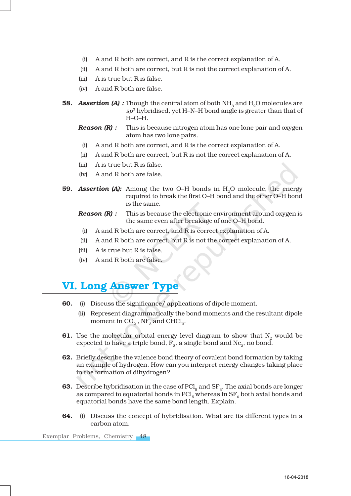- (i) A and R both are correct, and R is the correct explanation of A.
- (ii) A and R both are correct, but R is not the correct explanation of A.
- (iii) A is true but R is false.
- (iv) A and R both are false.
- 58. **Assertion (A):** Though the central atom of both NH<sub>2</sub> and H<sub>2</sub>O molecules are *sp*3 hybridised, yet H–N–H bond angle is greater than that of H–O–H.
	- *Reason (R) :* This is because nitrogen atom has one lone pair and oxygen atom has two lone pairs.
	- (i) A and R both are correct, and R is the correct explanation of A.
	- (ii) A and R both are correct, but R is not the correct explanation of A.
	- (iii) A is true but R is false.
	- (iv) A and R both are false.
- 59. **Assertion (A):** Among the two O–H bonds in H<sub>2</sub>O molecule, the energy required to break the first O–H bond and the other O–H bond is the same.
	- *Reason (R) :* This is because the electronic environment around oxygen is the same even after breakage of one O–H bond.
	- (i) A and R both are correct, and R is correct explanation of A.
	- (ii) A and R both are correct, but R is not the correct explanation of A.
	- (iii) A is true but R is false.
	- (iv) A and R both are false.

### VI. Long Answer Type

- 60. (i) Discuss the significance/ applications of dipole moment.
	- (ii) Represent diagrammatically the bond moments and the resultant dipole moment in  $CO<sub>9</sub>$ , NF<sub>3</sub> and CHCl<sub>3</sub>.
- 61. Use the molecular orbital energy level diagram to show that  $N<sub>2</sub>$  would be expected to have a triple bond,  $\overline{F}_2$ , a single bond and Ne<sub>2</sub>, no bond.
- 62. Briefly describe the valence bond theory of covalent bond formation by taking an example of hydrogen. How can you interpret energy changes taking place in the formation of dihydrogen?
- **63.** Describe hybridisation in the case of  $\text{PCl}_5$  and  $\text{SF}_6$ . The axial bonds are longer as compared to equatorial bonds in  $\text{PCI}_5$  whereas in  $\text{SF}_6$  both axial bonds and equatorial bonds have the same bond length. Explain.
- 64. (i) Discuss the concept of hybridisation. What are its different types in a carbon atom.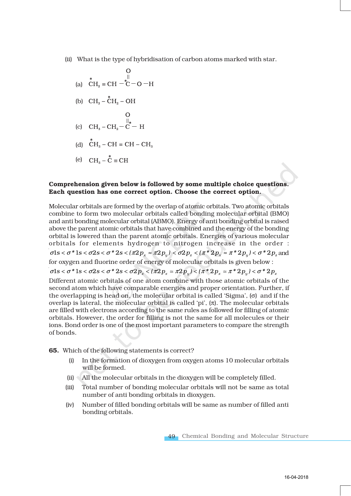- (ii) What is the type of hybridisation of carbon atoms marked with star.
	- (a)  $\overline{CH}_2 = \overline{CH} \overline{C} \overline{O} H$
	- (b)  $CH_3 \overset{*}{CH}_2 OH$
	- (c)  $CH_3-CH_2-C$  + H
	- (d)  $CH_3$  CH = CH CH<sub>3</sub>
	- (e)  $CH_3 \overset{*}{C} \equiv CH$

#### Comprehension given below is followed by some multiple choice questions. Each question has one correct option. Choose the correct option.

Molecular orbitals are formed by the overlap of atomic orbitals. Two atomic orbitals combine to form two molecular orbitals called bonding molecular orbital (BMO) and anti bonding molecular orbital (ABMO). Energy of anti bonding orbital is raised above the parent atomic orbitals that have combined and the energy of the bonding orbital is lowered than the parent atomic orbitals. Energies of various molecular orbitals for elements hydrogen to nitrogen increase in the order :  $\sigma$ ls <  $\sigma$ <sup>\*</sup> ls <  $\sigma$ 2s <  $\sigma$ <sup>\*</sup> 2s <  $(\pi 2p_x \approx \pi 2p_y)$  <  $\sigma$ 2 $p_x \approx (\pi^* 2p_x \approx \pi^* 2p_y)$  <  $\sigma^* 2p_z$  and for oxygen and fluorine order of energy of molecular orbitals is given below : σls <  $\sigma$ \* ls <  $\sigma$ 2s <  $\sigma$ \* 2s <  $\sigma$ 2 $p_z$  <  $(\pi 2p_x = \pi 2p_y)$  <  $(\pi^* 2p_x = \pi^* 2p_y)$  <  $\sigma^* 2p_z$ Different atomic orbitals of one atom combine with those atomic orbitals of the second atom which have comparable energies and proper orientation. Further, if the overlapping is head on, the molecular orbital is called 'Sigma', (σ) and if the overlap is lateral, the molecular orbital is called 'pi',  $(\pi)$ . The molecular orbitals are filled with electrons according to the same rules as followed for filling of atomic orbitals. However, the order for filling is not the same for all molecules or their ions. Bond order is one of the most important parameters to compare the strength of bonds.

- 65. Which of the following statements is correct?
	- (i) In the formation of dioxygen from oxygen atoms 10 molecular orbitals will be formed.
	- (ii) All the molecular orbitals in the dioxygen will be completely filled.
	- (iii) Total number of bonding molecular orbitals will not be same as total number of anti bonding orbitals in dioxygen.
	- (iv) Number of filled bonding orbitals will be same as number of filled anti bonding orbitals.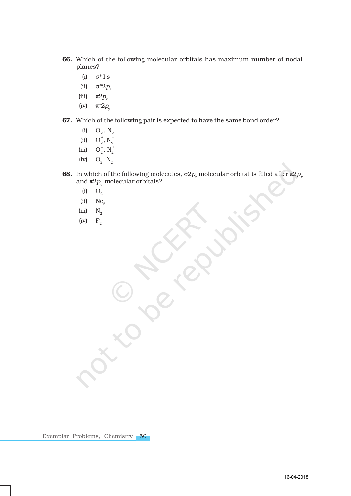- 66. Which of the following molecular orbitals has maximum number of nodal planes?
	- (i) σ\*1*s*
	- (ii)  $σ^*2p_z$
	- (iii)  $\pi 2p$ <sub>x</sub>
	- (iv)  $\pi^* 2p_y$
- 67. Which of the following pair is expected to have the same bond order?
	- (i)  $O_2$ ,  $N_2$
	- (ii)  $O_2^*$ ,  $N_2^-$
	- (iii)  $O_2^-, N_2^+$
	- (iv)  $O_2^-, N_2^-$
- **68.** In which of the following molecules,  $\sigma 2p_z$  molecular orbital is filled after  $\pi 2p_x$ and  $\pi 2p_y$  molecular orbitals?
	- $(i)$  O<sub>2</sub>
	- $(iii)$  Ne<sub>2</sub>
	- $(iii)$   $N_2$
	- (iv)  $F<sub>2</sub>$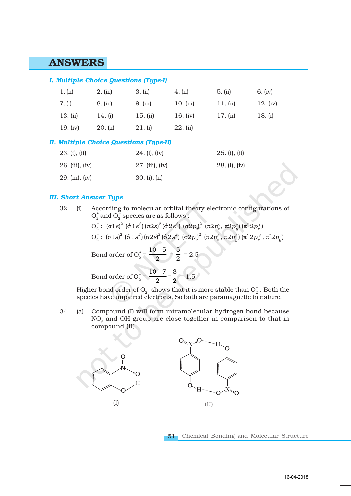## ANSWERS

#### *I. Multiple Choice Questions (Type-I)*

| 1. (ii)    | 2. (iii)  | 3. (ii)  | 4. (ii)     | 5. (ii)  | 6. (iv)  |
|------------|-----------|----------|-------------|----------|----------|
| 7. (i)     | 8. (iii)  | 9. (iii) | $10.$ (iii) | 11. (ii) | 12. (iv) |
| 13. (ii)   | 14. $(i)$ | 15. (ii) | 16. $(iv)$  | 17. (ii) | 18. (i)  |
| 19. $(iv)$ | 20. (ii)  | 21. (i)  | $22.$ (ii)  |          |          |

#### *II. Multiple Choice Questions (Type-II)*

| 23. (i), (ii)   | $24. (i)$ , $(iv)$ | 25. (i), (ii) |
|-----------------|--------------------|---------------|
| 26. (iii), (iv) | 27. (iii), (iv)    | 28. (i), (iv) |
| 29. (iii), (iv) | 30. (i), (ii)      |               |

#### *III. Short Answer Type*

32. (i) According to molecular orbital theory electronic configurations of  $O_2^+$  and  $O_2^-$  species are as follows :

> $O_2^{\pm}$ : (σ $1$ s) $^2$  (σ $1s^2$ )(σ $2s$ ) $^2$  (σ $2s^2$ ) (σ $2p_{\chi}^{\,2}$  (π $2p_{\chi}^{\,2}$ , π $2p_{\chi}^{\,2}$ ) (π $^*$   $2p_{\chi}^{\,1}$ )  $O_2^- \colon\: (\texttt{0}1\texttt{s})^2 \; (\texttt{0}^41\texttt{s}^2) \, (\texttt{0}2\texttt{s})^2 \, (\texttt{0}^42\texttt{s}^2) \; (\texttt{0}2p_{_2})^2 \; (\texttt{π}2p_{_X}^2,\texttt{π}2p_{_Y}^2) \, (\texttt{π}^*2p_{_X}^2,\texttt{π}^*2p_{_Y}^1)$

Bond order of O<sub>2</sub><sup>+</sup> = 
$$
\frac{10-5}{2} = \frac{5}{2} = 2.5
$$
  
Bond order of O<sub>2</sub><sup>-</sup> =  $\frac{10-7}{2} = \frac{3}{2} = 1.5$ 

2

Higher bond order of  $\mathrm{O}_2^+$  shows that it is more stable than  $\mathrm{O}_2^-$  . Both the species have unpaired electrons. So both are paramagnetic in nature.

34. (a) Compound (I) will form intramolecular hydrogen bond because  $NO<sub>2</sub>$  and OH group are close together in comparison to that in compound (II).